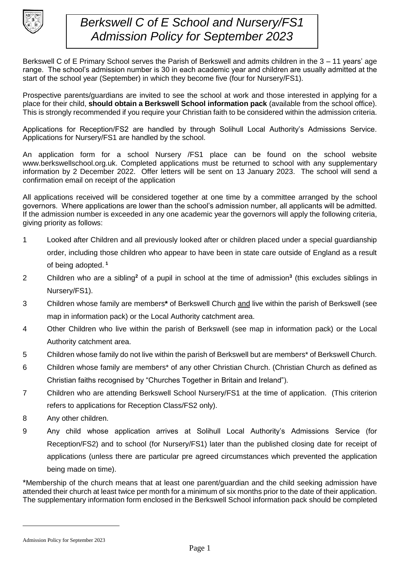

## *Berkswell C of E School and Nursery/FS1 Admission Policy for September 2023*

Berkswell C of E Primary School serves the Parish of Berkswell and admits children in the 3 – 11 years' age range. The school's admission number is 30 in each academic year and children are usually admitted at the start of the school year (September) in which they become five (four for Nursery/FS1).

Prospective parents/guardians are invited to see the school at work and those interested in applying for a place for their child, **should obtain a Berkswell School information pack** (available from the school office). This is strongly recommended if you require your Christian faith to be considered within the admission criteria.

Applications for Reception/FS2 are handled by through Solihull Local Authority's Admissions Service. Applications for Nursery/FS1 are handled by the school.

An application form for a school Nursery /FS1 place can be found on the school website www.berkswellschool.org.uk. Completed applications must be returned to school with any supplementary information by 2 December 2022. Offer letters will be sent on 13 January 2023. The school will send a confirmation email on receipt of the application

All applications received will be considered together at one time by a committee arranged by the school governors. Where applications are lower than the school's admission number, all applicants will be admitted. If the admission number is exceeded in any one academic year the governors will apply the following criteria, giving priority as follows:

- 1 Looked after Children and all previously looked after or children placed under a special guardianship order, including those children who appear to have been in state care outside of England as a result of being adopted. **<sup>1</sup>**
- 2 Children who are a sibling**<sup>2</sup>** of a pupil in school at the time of admission**<sup>3</sup>** (this excludes siblings in Nursery/FS1).
- 3 Children whose family are members**\*** of Berkswell Church and live within the parish of Berkswell (see map in information pack) or the Local Authority catchment area.
- 4 Other Children who live within the parish of Berkswell (see map in information pack) or the Local Authority catchment area.
- 5 Children whose family do not live within the parish of Berkswell but are members\* of Berkswell Church.
- 6 Children whose family are members\* of any other Christian Church. (Christian Church as defined as Christian faiths recognised by "Churches Together in Britain and Ireland").
- 7 Children who are attending Berkswell School Nursery/FS1 at the time of application. (This criterion refers to applications for Reception Class/FS2 only).
- 8 Any other children.
- 9 Any child whose application arrives at Solihull Local Authority's Admissions Service (for Reception/FS2) and to school (for Nursery/FS1) later than the published closing date for receipt of applications (unless there are particular pre agreed circumstances which prevented the application being made on time).

\*Membership of the church means that at least one parent/guardian and the child seeking admission have attended their church at least twice per month for a minimum of six months prior to the date of their application. The supplementary information form enclosed in the Berkswell School information pack should be completed

Admission Policy for September 2023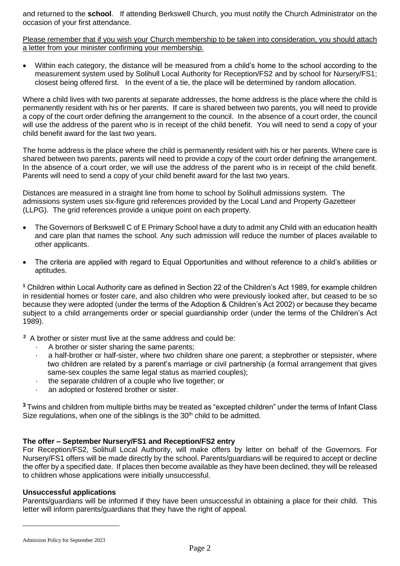and returned to the **school**. If attending Berkswell Church, you must notify the Church Administrator on the occasion of your first attendance.

Please remember that if you wish your Church membership to be taken into consideration, you should attach a letter from your minister confirming your membership.

 Within each category, the distance will be measured from a child's home to the school according to the measurement system used by Solihull Local Authority for Reception/FS2 and by school for Nursery/FS1; closest being offered first. In the event of a tie, the place will be determined by random allocation.

Where a child lives with two parents at separate addresses, the home address is the place where the child is permanently resident with his or her parents. If care is shared between two parents, you will need to provide a copy of the court order defining the arrangement to the council. In the absence of a court order, the council will use the address of the parent who is in receipt of the child benefit. You will need to send a copy of your child benefit award for the last two years.

The home address is the place where the child is permanently resident with his or her parents. Where care is shared between two parents, parents will need to provide a copy of the court order defining the arrangement. In the absence of a court order, we will use the address of the parent who is in receipt of the child benefit. Parents will need to send a copy of your child benefit award for the last two years.

Distances are measured in a straight line from home to school by Solihull admissions system. The admissions system uses six-figure grid references provided by the Local Land and Property Gazetteer (LLPG). The grid references provide a unique point on each property.

- The Governors of Berkswell C of E Primary School have a duty to admit any Child with an education health and care plan that names the school. Any such admission will reduce the number of places available to other applicants.
- The criteria are applied with regard to Equal Opportunities and without reference to a child's abilities or aptitudes.

**<sup>1</sup>** Children within Local Authority care as defined in Section 22 of the Children's Act 1989, for example children in residential homes or foster care, and also children who were previously looked after, but ceased to be so because they were adopted (under the terms of the Adoption & Children's Act 2002) or because they became subject to a child arrangements order or special guardianship order (under the terms of the Children's Act 1989).

**2** A brother or sister must live at the same address and could be:

- A brother or sister sharing the same parents;
- a half-brother or half-sister, where two children share one parent; a stepbrother or stepsister, where two children are related by a parent's marriage or civil partnership (a formal arrangement that gives same-sex couples the same legal status as married couples);
- · the separate children of a couple who live together; or
- an adopted or fostered brother or sister.

**<sup>3</sup>**Twins and children from multiple births may be treated as "excepted children" under the terms of Infant Class Size regulations, when one of the siblings is the  $30<sup>th</sup>$  child to be admitted.

## **The offer – September Nursery/FS1 and Reception/FS2 entry**

For Reception/FS2, Solihull Local Authority, will make offers by letter on behalf of the Governors. For Nursery/FS1 offers will be made directly by the school. Parents/guardians will be required to accept or decline the offer by a specified date. If places then become available as they have been declined, they will be released to children whose applications were initially unsuccessful.

## **Unsuccessful applications**

Parents/guardians will be informed if they have been unsuccessful in obtaining a place for their child. This letter will inform parents/guardians that they have the right of appeal.

Admission Policy for September 2023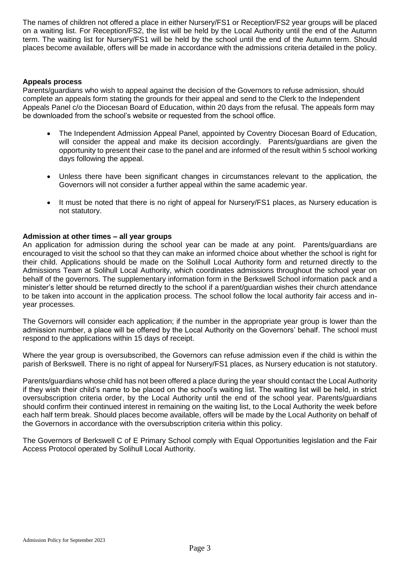The names of children not offered a place in either Nursery/FS1 or Reception/FS2 year groups will be placed on a waiting list. For Reception/FS2, the list will be held by the Local Authority until the end of the Autumn term. The waiting list for Nursery/FS1 will be held by the school until the end of the Autumn term. Should places become available, offers will be made in accordance with the admissions criteria detailed in the policy.

#### **Appeals process**

Parents/guardians who wish to appeal against the decision of the Governors to refuse admission, should complete an appeals form stating the grounds for their appeal and send to the Clerk to the Independent Appeals Panel c/o the Diocesan Board of Education, within 20 days from the refusal. The appeals form may be downloaded from the school's website or requested from the school office.

- The Independent Admission Appeal Panel, appointed by Coventry Diocesan Board of Education, will consider the appeal and make its decision accordingly. Parents/guardians are given the opportunity to present their case to the panel and are informed of the result within 5 school working days following the appeal.
- Unless there have been significant changes in circumstances relevant to the application, the Governors will not consider a further appeal within the same academic year.
- It must be noted that there is no right of appeal for Nursery/FS1 places, as Nursery education is not statutory.

#### **Admission at other times – all year groups**

An application for admission during the school year can be made at any point. Parents/guardians are encouraged to visit the school so that they can make an informed choice about whether the school is right for their child. Applications should be made on the Solihull Local Authority form and returned directly to the Admissions Team at Solihull Local Authority, which coordinates admissions throughout the school year on behalf of the governors. The supplementary information form in the Berkswell School information pack and a minister's letter should be returned directly to the school if a parent/guardian wishes their church attendance to be taken into account in the application process. The school follow the local authority fair access and inyear processes.

The Governors will consider each application; if the number in the appropriate year group is lower than the admission number, a place will be offered by the Local Authority on the Governors' behalf. The school must respond to the applications within 15 days of receipt.

Where the year group is oversubscribed, the Governors can refuse admission even if the child is within the parish of Berkswell. There is no right of appeal for Nursery/FS1 places, as Nursery education is not statutory.

Parents/guardians whose child has not been offered a place during the year should contact the Local Authority if they wish their child's name to be placed on the school's waiting list. The waiting list will be held, in strict oversubscription criteria order, by the Local Authority until the end of the school year. Parents/guardians should confirm their continued interest in remaining on the waiting list, to the Local Authority the week before each half term break. Should places become available, offers will be made by the Local Authority on behalf of the Governors in accordance with the oversubscription criteria within this policy.

The Governors of Berkswell C of E Primary School comply with Equal Opportunities legislation and the Fair Access Protocol operated by Solihull Local Authority.